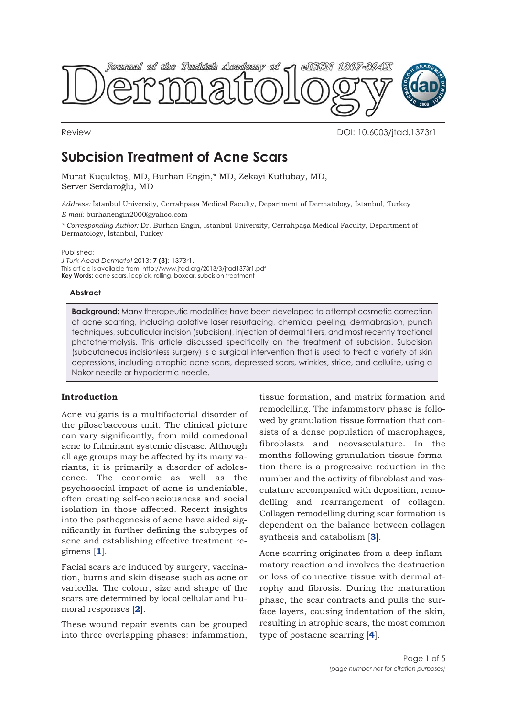

Review DOI: 10.6003/jtad.1373r1

# **Subcision Treatment of Acne Scars**

Murat Küçüktaş, MD, Burhan Engin,\* MD, Zekayi Kutlubay, MD, Server Serdaroğlu, MD

*Address:* İstanbul University, Cerrahpaşa Medical Faculty, Department of Dermatology, İstanbul, Turkey *E-mail:* burhanengin2000@yahoo.com

*\* Corresponding Author:* Dr. Burhan Engin, İstanbul University, Cerrahpaşa Medical Faculty, Department of Dermatology, İstanbul, Turkey

Published:

*J Turk Acad Dermatol* 2013; **7 (3)**: 1373r1. This article is available from: http://www.jtad.org/2013/3/jtad1373r1.pdf **Key Words:** acne scars, icepick, rolling, boxcar, subcision treatment

# **Abstract**

**Background:** Many therapeutic modalities have been developed to attempt cosmetic correction of acne scarring, including ablative laser resurfacing, chemical peeling, dermabrasion, punch techniques, subcuticular incision (subcision), injection of dermal fillers, and most recently fractional photothermolysis. This article discussed specifically on the treatment of subcision. Subcision (subcutaneous incisionless surgery) is a surgical intervention that is used to treat a variety of skin depressions, including atrophic acne scars, depressed scars, wrinkles, striae, and cellulite, using a Nokor needle or hypodermic needle.

# **Introduction**

Acne vulgaris is a multifactorial disorder of the pilosebaceous unit. The clinical picture can vary significantly, from mild comedonal acne to fulminant systemic disease. Although all age groups may be affected by its many variants, it is primarily a disorder of adolescence. The economic as well as the psychosocial impact of acne is undeniable, often creating self-consciousness and social isolation in those affected. Recent insights into the pathogenesis of acne have aided significantly in further defining the subtypes of acne and establishing effective treatment regimens [**1**].

Facial scars are induced by surgery, vaccination, burns and skin disease such as acne or varicella. The colour, size and shape of the scars are determined by local cellular and humoral responses [**2**].

These wound repair events can be grouped into three overlapping phases: infammation,

tissue formation, and matrix formation and remodelling. The infammatory phase is followed by granulation tissue formation that consists of a dense population of macrophages, fibroblasts and neovasculature. In the months following granulation tissue formation there is a progressive reduction in the number and the activity of fibroblast and vasculature accompanied with deposition, remodelling and rearrangement of collagen. Collagen remodelling during scar formation is dependent on the balance between collagen synthesis and catabolism [**3**].

Acne scarring originates from a deep inflammatory reaction and involves the destruction or loss of connective tissue with dermal atrophy and fibrosis. During the maturation phase, the scar contracts and pulls the surface layers, causing indentation of the skin, resulting in atrophic scars, the most common type of postacne scarring [**4**].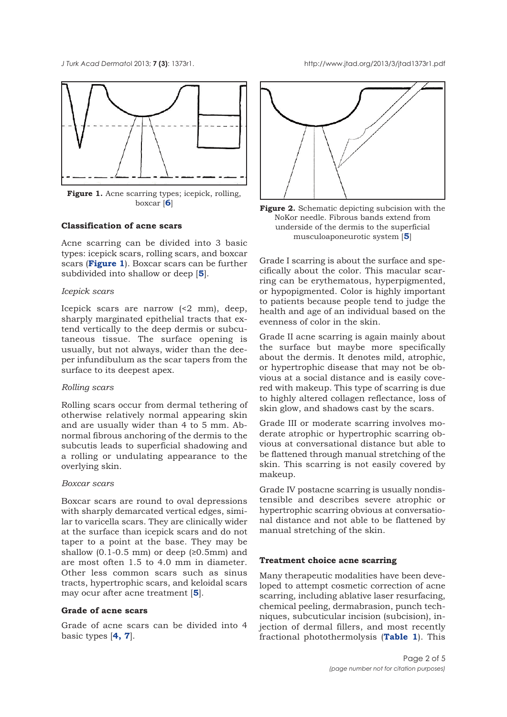

**Figure 1.** Acne scarring types; icepick, rolling,

# **Classification of acne scars**

Acne scarring can be divided into 3 basic types: icepick scars, rolling scars, and boxcar scars (**Figure 1**). Boxcar scars can be further subdivided into shallow or deep [**5**].

#### *Icepick scars*

Icepick scars are narrow (<2 mm), deep, sharply marginated epithelial tracts that extend vertically to the deep dermis or subcutaneous tissue. The surface opening is usually, but not always, wider than the deeper infundibulum as the scar tapers from the surface to its deepest apex.

## *Rolling scars*

Rolling scars occur from dermal tethering of otherwise relatively normal appearing skin and are usually wider than 4 to 5 mm. Abnormal fibrous anchoring of the dermis to the subcutis leads to superficial shadowing and a rolling or undulating appearance to the overlying skin.

#### *Boxcar scars*

Boxcar scars are round to oval depressions with sharply demarcated vertical edges, similar to varicella scars. They are clinically wider at the surface than icepick scars and do not taper to a point at the base. They may be shallow  $(0.1-0.5 \text{ mm})$  or deep  $(≥0.5 \text{ mm})$  and are most often 1.5 to 4.0 mm in diameter. Other less common scars such as sinus tracts, hypertrophic scars, and keloidal scars may ocur after acne treatment [**5**].

#### **Grade of acne scars**

Grade of acne scars can be divided into 4 basic types [**4, 7**].



boxcar [**6**] **Figure 2.** Schematic depicting subcision with the NoKor needle. Fibrous bands extend from underside of the dermis to the superficial musculoaponeurotic system [**5**]

Grade I scarring is about the surface and specifically about the color. This macular scarring can be erythematous, hyperpigmented, or hypopigmented. Color is highly important to patients because people tend to judge the health and age of an individual based on the evenness of color in the skin.

Grade II acne scarring is again mainly about the surface but maybe more specifically about the dermis. It denotes mild, atrophic, or hypertrophic disease that may not be obvious at a social distance and is easily covered with makeup. This type of scarring is due to highly altered collagen reflectance, loss of skin glow, and shadows cast by the scars.

Grade III or moderate scarring involves moderate atrophic or hypertrophic scarring obvious at conversational distance but able to be flattened through manual stretching of the skin. This scarring is not easily covered by makeup.

Grade IV postacne scarring is usually nondistensible and describes severe atrophic or hypertrophic scarring obvious at conversational distance and not able to be flattened by manual stretching of the skin.

#### **Treatment choice acne scarring**

Many therapeutic modalities have been developed to attempt cosmetic correction of acne scarring, including ablative laser resurfacing, chemical peeling, dermabrasion, punch techniques, subcuticular incision (subcision), injection of dermal fillers, and most recently fractional photothermolysis (**Table 1**). This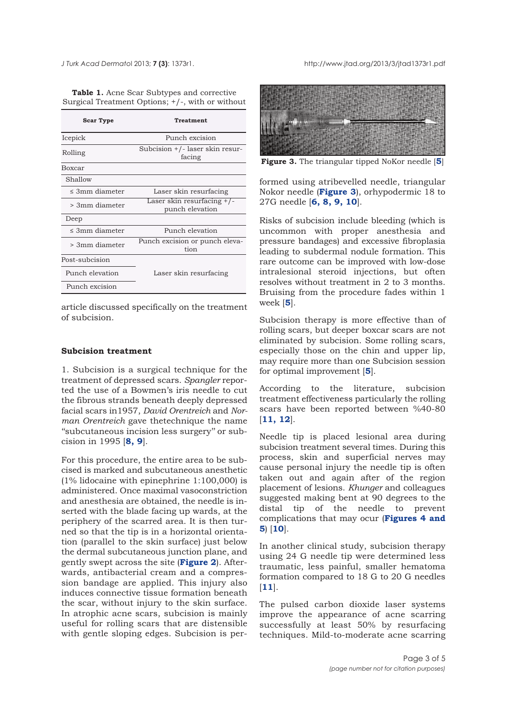**Table 1.** Acne Scar Subtypes and corrective Surgical Treatment Options; +/-, with or without

| <b>Scar Type</b>    | Treatment                                     |
|---------------------|-----------------------------------------------|
| Icepick             | Punch excision                                |
| Rolling             | Subcision +/- laser skin resur-<br>facing     |
| Boxcar              |                                               |
| Shallow             |                                               |
| $\leq$ 3mm diameter | Laser skin resurfacing                        |
| > 3mm diameter      | Laser skin resurfacing +/-<br>punch elevation |
| Deep                |                                               |
| < 3mm diameter      | Punch elevation                               |
| > 3mm diameter      | Punch excision or punch eleva-<br>tion        |
| Post-subcision      |                                               |
| Punch elevation     | Laser skin resurfacing                        |
| Punch excision      |                                               |

article discussed specifically on the treatment of subcision.

### **Subcision treatment**

1. Subcision is a surgical technique for the treatment of depressed scars. *Spangler* reported the use of a Bowmen's iris needle to cut the fibrous strands beneath deeply depressed facial scars in1957, *David Orentreich* and *Norman Orentreich* gave thetechnique the name ''subcutaneous incision less surgery'' or subcision in 1995 [**8, 9**].

For this procedure, the entire area to be subcised is marked and subcutaneous anesthetic (1% lidocaine with epinephrine 1:100,000) is administered. Once maximal vasoconstriction and anesthesia are obtained, the needle is inserted with the blade facing up wards, at the periphery of the scarred area. It is then turned so that the tip is in a horizontal orientation (parallel to the skin surface) just below the dermal subcutaneous junction plane, and gently swept across the site (**Figure 2**). Afterwards, antibacterial cream and a compression bandage are applied. This injury also induces connective tissue formation beneath the scar, without injury to the skin surface. In atrophic acne scars, subcision is mainly useful for rolling scars that are distensible with gentle sloping edges. Subcision is per-



**Figure 3.** The triangular tipped NoKor needle [**5**]

formed using atribevelled needle, triangular Nokor needle (**Figure 3**), orhypodermic 18 to 27G needle [**6, 8, 9, 10**].

Risks of subcision include bleeding (which is uncommon with proper anesthesia and pressure bandages) and excessive fibroplasia leading to subdermal nodule formation. This rare outcome can be improved with low-dose intralesional steroid injections, but often resolves without treatment in 2 to 3 months. Bruising from the procedure fades within 1 week [**5**].

Subcision therapy is more effective than of rolling scars, but deeper boxcar scars are not eliminated by subcision. Some rolling scars, especially those on the chin and upper lip, may require more than one Subcision session for optimal improvement [**5**].

According to the literature, subcision treatment effectiveness particularly the rolling scars have been reported between %40-80 [**11, 12**].

Needle tip is placed lesional area during subcision treatment several times. During this process, skin and superficial nerves may cause personal injury the needle tip is often taken out and again after of the region placement of lesions. *Khunger* and colleagues suggested making bent at 90 degrees to the distal tip of the needle to prevent complications that may ocur (**Figures 4 and 5**) [**10**].

In another clinical study, subcision therapy using 24 G needle tip were determined less traumatic, less painful, smaller hematoma formation compared to 18 G to 20 G needles [**11**].

The pulsed carbon dioxide laser systems improve the appearance of acne scarring successfully at least 50% by resurfacing techniques. Mild-to-moderate acne scarring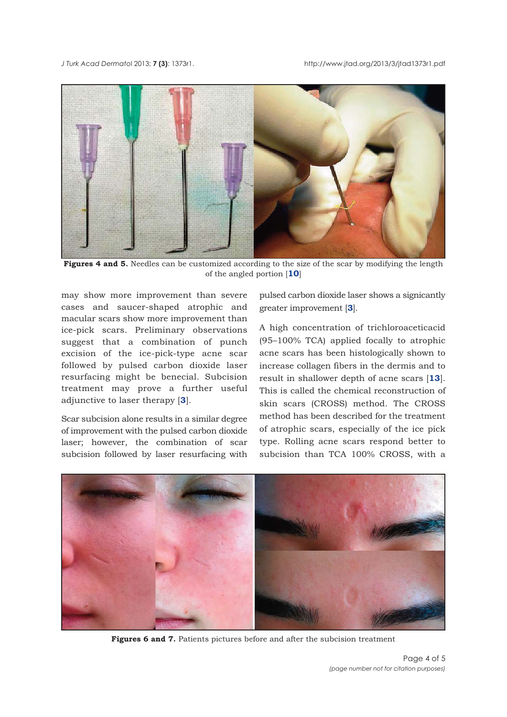

**Figures 4 and 5.** Needles can be customized according to the size of the scar by modifying the length of the angled portion [**10**]

may show more improvement than severe cases and saucer-shaped atrophic and macular scars show more improvement than ice-pick scars. Preliminary observations suggest that a combination of punch excision of the ice-pick-type acne scar followed by pulsed carbon dioxide laser resurfacing might be benecial. Subcision treatment may prove a further useful adjunctive to laser therapy [**3**].

Scar subcision alone results in a similar degree of improvement with the pulsed carbon dioxide laser; however, the combination of scar subcision followed by laser resurfacing with

pulsed carbon dioxide laser shows a signicantly greater improvement [**3**].

A high concentration of trichloroaceticacid (95–100% TCA) applied focally to atrophic acne scars has been histologically shown to increase collagen fibers in the dermis and to result in shallower depth of acne scars [**13**]. This is called the chemical reconstruction of skin scars (CROSS) method. The CROSS method has been described for the treatment of atrophic scars, especially of the ice pick type. Rolling acne scars respond better to subcision than TCA 100% CROSS, with a



**Figures 6 and 7.** Patients pictures before and after the subcision treatment